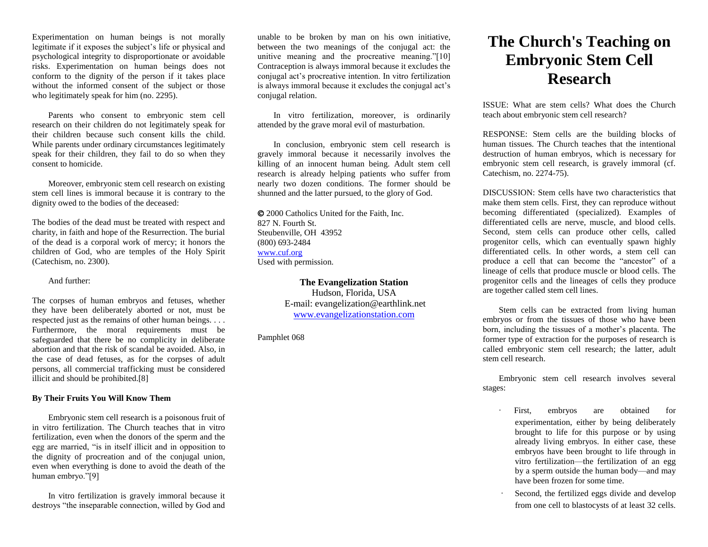Experimentation on human beings is not morally legitimate if it exposes the subject's life or physical and psychological integrity to disproportionate or avoidable risks. Experimentation on human beings does not conform to the dignity of the person if it takes place without the informed consent of the subject or those who legitimately speak for him (no. 2295).

Parents who consent to embryonic stem cell research on their children do not legitimately speak for their children because such consent kills the child. While parents under ordinary circumstances legitimately speak for their children, they fail to do so when they consent to homicide.

Moreover, embryonic stem cell research on existing stem cell lines is immoral because it is contrary to the dignity owed to the bodies of the deceased:

The bodies of the dead must be treated with respect and charity, in faith and hope of the Resurrection. The burial of the dead is a corporal work of mercy; it honors the children of God, who are temples of the Holy Spirit (Catechism, no. 2300).

## And further:

The corpses of human embryos and fetuses, whether they have been deliberately aborted or not, must be respected just as the remains of other human beings. . . . Furthermore, the moral requirements must be safeguarded that there be no complicity in deliberate abortion and that the risk of scandal be avoided. Also, in the case of dead fetuses, as for the corpses of adult persons, all commercial trafficking must be considered illicit and should be prohibited.[8]

## **By Their Fruits You Will Know Them**

Embryonic stem cell research is a poisonous fruit of in vitro fertilization. The Church teaches that in vitro fertilization, even when the donors of the sperm and the egg are married, "is in itself illicit and in opposition to the dignity of procreation and of the conjugal union, even when everything is done to avoid the death of the human embryo."[9]

In vitro fertilization is gravely immoral because it destroys "the inseparable connection, willed by God and

unable to be broken by man on his own initiative, between the two meanings of the conjugal act: the unitive meaning and the procreative meaning."[10] Contraception is always immoral because it excludes the conjugal act's procreative intention. In vitro fertilization is always immoral because it excludes the conjugal act's conjugal relation.

In vitro fertilization, moreover, is ordinarily attended by the grave moral evil of masturbation.

In conclusion, embryonic stem cell research is gravely immoral because it necessarily involves the killing of an innocent human being. Adult stem cell research is already helping patients who suffer from nearly two dozen conditions. The former should be shunned and the latter pursued, to the glory of God.

 2000 Catholics United for the Faith, Inc. 827 N. Fourth St. Steubenville, OH 43952 (800) 693-2484 [www.cuf.org](http://www.cuf.org/) Used with permission.

> **The Evangelization Station** Hudson, Florida, USA E-mail: evangelization@earthlink.net [www.evangelizationstation.com](http://www.pjpiisoe.org/)

Pamphlet 068

## **The Church's Teaching on Embryonic Stem Cell Research**

ISSUE: What are stem cells? What does the Church teach about embryonic stem cell research?

RESPONSE: Stem cells are the building blocks of human tissues. The Church teaches that the intentional destruction of human embryos, which is necessary for embryonic stem cell research, is gravely immoral (cf. Catechism, no. 2274-75).

DISCUSSION: Stem cells have two characteristics that make them stem cells. First, they can reproduce without becoming differentiated (specialized). Examples of differentiated cells are nerve, muscle, and blood cells. Second, stem cells can produce other cells, called progenitor cells, which can eventually spawn highly differentiated cells. In other words, a stem cell can produce a cell that can become the "ancestor" of a lineage of cells that produce muscle or blood cells. The progenitor cells and the lineages of cells they produce are together called stem cell lines.

Stem cells can be extracted from living human embryos or from the tissues of those who have been born, including the tissues of a mother's placenta. The former type of extraction for the purposes of research is called embryonic stem cell research; the latter, adult stem cell research.

Embryonic stem cell research involves several stages:

- First, embryos are obtained for experimentation, either by being deliberately brought to life for this purpose or by using already living embryos. In either case, these embryos have been brought to life through in vitro fertilization—the fertilization of an egg by a sperm outside the human body—and may have been frozen for some time.
- Second, the fertilized eggs divide and develop from one cell to blastocysts of at least 32 cells.